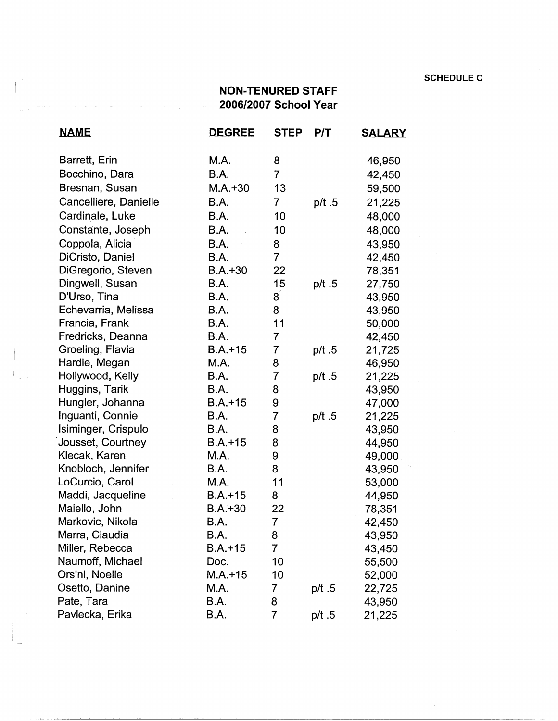## **NON-TENURED STAFF 2006/2007 School Year**

| <b>NAME</b>           | <u>DEGREE</u> | <b>STEP</b>    | <u>P/T</u> | <u>SALARY</u> |
|-----------------------|---------------|----------------|------------|---------------|
| Barrett, Erin         | M.A.          | 8              |            | 46,950        |
| Bocchino, Dara        | <b>B.A.</b>   | $\overline{7}$ |            | 42,450        |
| Bresnan, Susan        | $M.A.+30$     | 13             |            | 59,500        |
| Cancelliere, Danielle | <b>B.A.</b>   | $\overline{7}$ | p/t .5     | 21,225        |
| Cardinale, Luke       | B.A.          | 10             |            | 48,000        |
| Constante, Joseph     | <b>B.A.</b>   | 10             |            | 48,000        |
| Coppola, Alicia       | B.A.          | 8              |            | 43,950        |
| DiCristo, Daniel      | B.A.          | $\overline{7}$ |            | 42,450        |
| DiGregorio, Steven    | $B.A.+30$     | 22             |            | 78,351        |
| Dingwell, Susan       | B.A.          | 15             | p/ $t.5$   | 27,750        |
| D'Urso, Tina          | B.A.          | 8              |            | 43,950        |
| Echevarria, Melissa   | B.A.          | 8              |            | 43,950        |
| Francia, Frank        | B.A.          | 11             |            | 50,000        |
| Fredricks, Deanna     | B.A.          | $\overline{7}$ |            | 42,450        |
| Groeling, Flavia      | $B.A.+15$     | 7              | p/t.5      | 21,725        |
| Hardie, Megan         | M.A.          | 8              |            | 46,950        |
| Hollywood, Kelly      | B.A.          | $\overline{7}$ | p/t $.5$   | 21,225        |
| Huggins, Tarik        | B.A.          | 8              |            | 43,950        |
| Hungler, Johanna      | $B.A.+15$     | 9              |            | 47,000        |
| Inguanti, Connie      | B.A.          | 7              | p/t $.5$   | 21,225        |
| Isiminger, Crispulo   | <b>B.A.</b>   | 8              |            | 43,950        |
| Jousset, Courtney     | $B.A.+15$     | 8              |            | 44,950        |
| Klecak, Karen         | M.A.          | 9              |            | 49,000        |
| Knobloch, Jennifer    | B.A.          | 8              |            | 43,950        |
| LoCurcio, Carol       | M.A.          | 11             |            | 53,000        |
| Maddi, Jacqueline     | $B.A.+15$     | 8              |            | 44,950        |
| Maiello, John         | $B.A.+30$     | 22             |            | 78,351        |
| Markovic, Nikola      | B.A.          | 7              |            | 42,450        |
| Marra, Claudia        | B.A.          | 8              |            | 43,950        |
| Miller, Rebecca       | $B.A.+15$     | 7              |            | 43,450        |
| Naumoff, Michael      | Doc.          | 10             |            | 55,500        |
| Orsini, Noelle        | $M.A. + 15$   | 10             |            | 52,000        |
| Osetto, Danine        | M.A.          | 7              | p/t.5      | 22,725        |
| Pate, Tara            | B.A.          | 8              |            | 43,950        |
| Pavlecka, Erika       | B.A.          | 7              | p/t.5      | 21,225        |